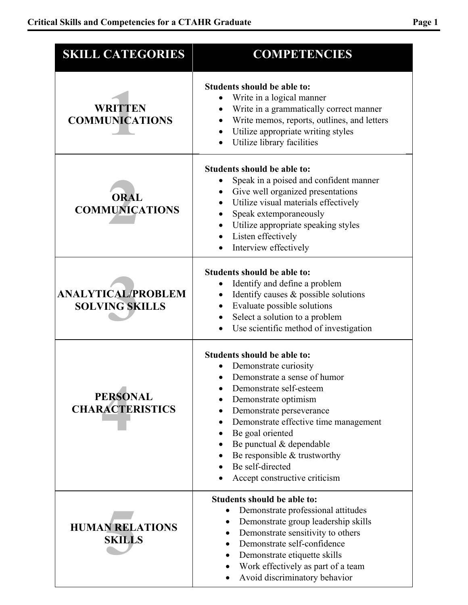| <b>SKILL CATEGORIES</b>                            | <b>COMPETENCIES</b>                                                                                                                                                                                                                                                                                                                                 |
|----------------------------------------------------|-----------------------------------------------------------------------------------------------------------------------------------------------------------------------------------------------------------------------------------------------------------------------------------------------------------------------------------------------------|
| <b>WRITTEN</b><br><b>COMMUNICATIONS</b>            | Students should be able to:<br>Write in a logical manner<br>Write in a grammatically correct manner<br>Write memos, reports, outlines, and letters<br>Utilize appropriate writing styles<br>Utilize library facilities                                                                                                                              |
| <b>ORAL</b><br><b>COMMUNICATIONS</b>               | Students should be able to:<br>Speak in a poised and confident manner<br>Give well organized presentations<br>Utilize visual materials effectively<br>Speak extemporaneously<br>Utilize appropriate speaking styles<br>Listen effectively<br>Interview effectively                                                                                  |
| <b>ANALYTICAL/PROBLEM</b><br><b>SOLVING SKILLS</b> | Students should be able to:<br>Identify and define a problem<br>Identify causes $\&$ possible solutions<br>Evaluate possible solutions<br>Select a solution to a problem<br>Use scientific method of investigation                                                                                                                                  |
| <b>PERSONAL</b><br><b>CHARACTERISTICS</b>          | Students should be able to:<br>Demonstrate curiosity<br>Demonstrate a sense of humor<br>Demonstrate self-esteem<br>Demonstrate optimism<br>Demonstrate perseverance<br>Demonstrate effective time management<br>Be goal oriented<br>Be punctual & dependable<br>Be responsible $&$ trustworthy<br>Be self-directed<br>Accept constructive criticism |
| <b>HUMAN RELATIONS</b><br><b>SKILLS</b>            | Students should be able to:<br>Demonstrate professional attitudes<br>$\bullet$<br>Demonstrate group leadership skills<br>$\bullet$<br>Demonstrate sensitivity to others<br>Demonstrate self-confidence<br>Demonstrate etiquette skills<br>Work effectively as part of a team<br>$\bullet$<br>Avoid discriminatory behavior                          |